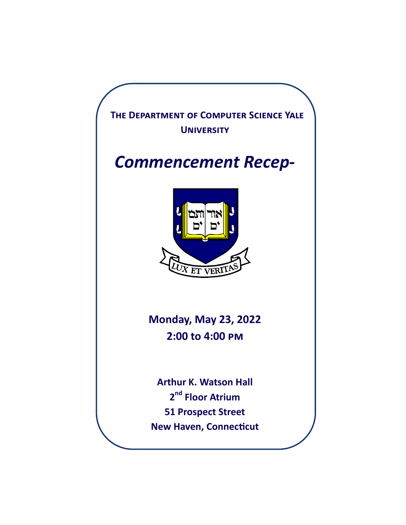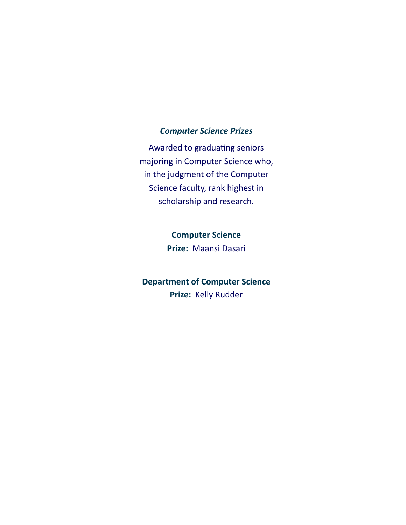#### *Computer Science Prizes*

Awarded to graduating seniors majoring in Computer Science who, in the judgment of the Computer Science faculty, rank highest in scholarship and research.

## **Computer Science**

**Prize:** Maansi Dasari

## **Department of Computer Science Prize:** Kelly Rudder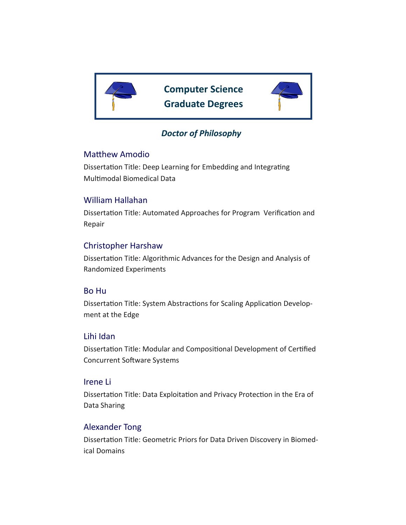

**Computer Science Graduate Degrees**



### *Doctor of Philosophy*

#### Matthew Amodio

Dissertation Title: Deep Learning for Embedding and Integrating Multimodal Biomedical Data

### William Hallahan

Dissertation Title: Automated Approaches for Program Verification and Repair

### Christopher Harshaw

Dissertation Title: Algorithmic Advances for the Design and Analysis of Randomized Experiments

#### Bo Hu

Dissertation Title: System Abstractions for Scaling Application Development at the Edge

#### Lihi Idan

Dissertation Title: Modular and Compositional Development of Certified Concurrent Software Systems

#### Irene Li

Dissertation Title: Data Exploitation and Privacy Protection in the Era of Data Sharing

#### Alexander Tong

Dissertation Title: Geometric Priors for Data Driven Discovery in Biomedical Domains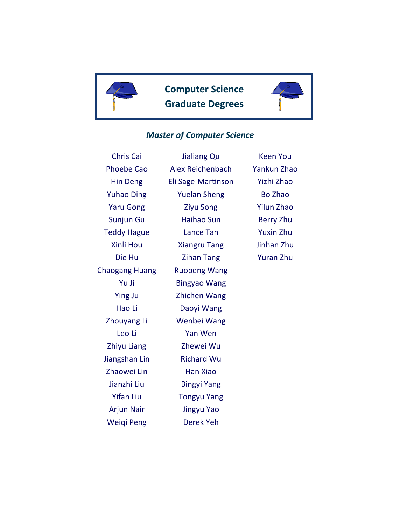

**Computer Science Graduate Degrees**



#### *Master of Computer Science*

Chris Cai Phoebe Cao Hin Deng Yuhao Ding Yaru Gong Sunjun Gu Teddy Hague Xinli Hou Die Hu Chaogang Huang Yu Ji Ying Ju Hao Li Zhouyang Li Leo Li Zhiyu Liang Jiangshan Lin Zhaowei Lin Jianzhi Liu Yifan Liu Arjun Nair Weiqi Peng

Jialiang Qu Alex Reichenbach Eli Sage-Martinson Yuelan Sheng Ziyu Song Haihao Sun Lance Tan Xiangru Tang Zihan Tang Ruopeng Wang Bingyao Wang Zhichen Wang Daoyi Wang Wenbei Wang Yan Wen Zhewei Wu Richard Wu Han Xiao Bingyi Yang Tongyu Yang Jingyu Yao Derek Yeh

Keen You Yankun Zhao Yizhi Zhao Bo Zhao Yilun Zhao Berry Zhu Yuxin Zhu Jinhan Zhu Yuran Zhu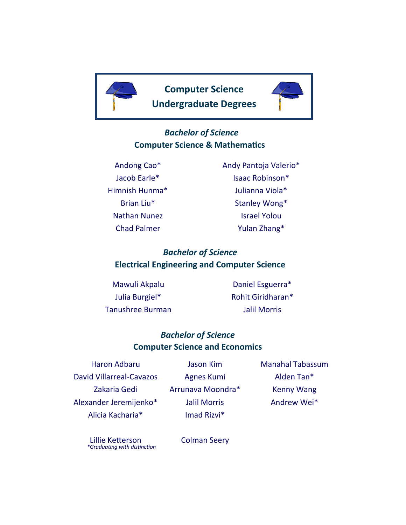



## *Bachelor of Science* **Computer Science & Mathematics**

Andong Cao\* Jacob Earle\* Himnish Hunma\* Brian Liu\* Nathan Nunez Chad Palmer

Andy Pantoja Valerio\* Isaac Robinson\* Julianna Viola\* Stanley Wong\* Israel Yolou Yulan Zhang\*

## *Bachelor of Science* **Electrical Engineering and Computer Science**

Mawuli Akpalu Julia Burgiel\* Tanushree Burman

Daniel Esguerra\* Rohit Giridharan\* Jalil Morris

## *Bachelor of Science* **Computer Science and Economics**

Haron Adbaru David Villarreal-Cavazos Zakaria Gedi Alexander Jeremijenko\* Alicia Kacharia\*

Jason Kim Agnes Kumi Arrunava Moondra\* Jalil Morris Imad Rizvi\*

Manahal Tabassum Alden Tan\* Kenny Wang Andrew Wei\*

*\*Graduating with distinction* Lillie Ketterson

Colman Seery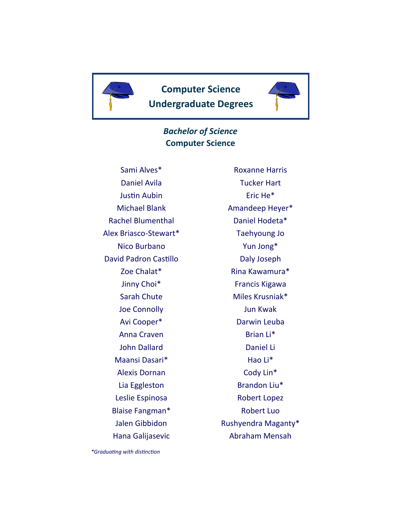



### *Bachelor of Science* **Computer Science**

Sami Alves\* Daniel Avila Justin Aubin Michael Blank Rachel Blumenthal Alex Briasco-Stewart\* Nico Burbano David Padron Castillo Zoe Chalat\* Jinny Choi\* Sarah Chute Joe Connolly Avi Cooper\* Anna Craven John Dallard Maansi Dasari\* Alexis Dornan Lia Eggleston Leslie Espinosa Blaise Fangman\* Jalen Gibbidon Hana Galijasevic

Roxanne Harris Tucker Hart Eric He\* Amandeep Heyer\* Daniel Hodeta\* Taehyoung Jo Yun Jong\* Daly Joseph Rina Kawamura\* Francis Kigawa Miles Krusniak\* Jun Kwak Darwin Leuba Brian Li\* Daniel Li Hao Li\* Cody Lin\* Brandon Liu\* Robert Lopez Robert Luo Rushyendra Maganty\* Abraham Mensah

*\*Graduating with distinction*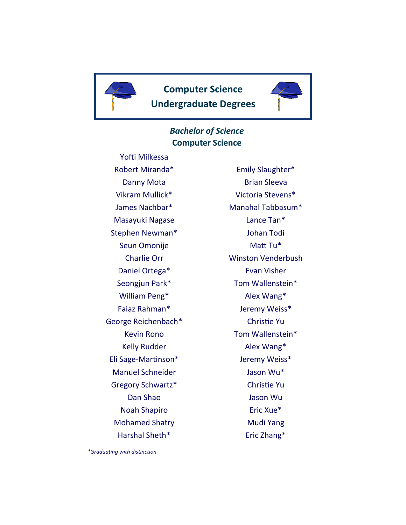



### *Bachelor of Science* **Computer Science**

Yofti Milkessa Robert Miranda\* Danny Mota Vikram Mullick\* James Nachbar\* Masayuki Nagase Stephen Newman\* Seun Omonije Charlie Orr Daniel Ortega\* Seongjun Park\* William Peng\* Faiaz Rahman\* George Reichenbach\* Kevin Rono Kelly Rudder Eli Sage-Martinson\* Manuel Schneider Gregory Schwartz\* Dan Shao Noah Shapiro Mohamed Shatry Harshal Sheth\*

Emily Slaughter\* Brian Sleeva Victoria Stevens\* Manahal Tabbasum\* Lance Tan\* Johan Todi Matt Tu\* Winston Venderbush Evan Visher Tom Wallenstein\* Alex Wang\* Jeremy Weiss\* Christie Yu Tom Wallenstein\* Alex Wang\* Jeremy Weiss\* Jason Wu\* Christie Yu Jason Wu Eric Xue\* Mudi Yang Eric Zhang\*

*\*Graduating with distinction*